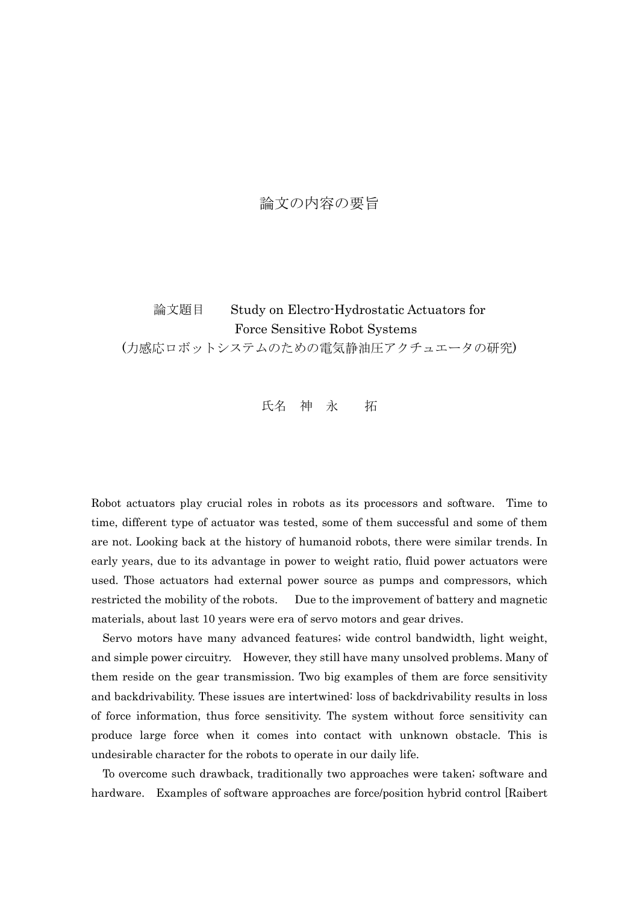## 論文の内容の要旨

論文題目 Study on Electro-Hydrostatic Actuators for Force Sensitive Robot Systems (力感応ロボットシステムのための電気静油圧アクチュエータの研究)

氏名 神 永 拓

Robot actuators play crucial roles in robots as its processors and software. Time to time, different type of actuator was tested, some of them successful and some of them are not. Looking back at the history of humanoid robots, there were similar trends. In early years, due to its advantage in power to weight ratio, fluid power actuators were used. Those actuators had external power source as pumps and compressors, which restricted the mobility of the robots. Due to the improvement of battery and magnetic materials, about last 10 years were era of servo motors and gear drives.

Servo motors have many advanced features; wide control bandwidth, light weight, and simple power circuitry. However, they still have many unsolved problems. Many of them reside on the gear transmission. Two big examples of them are force sensitivity and backdrivability. These issues are intertwined: loss of backdrivability results in loss of force information, thus force sensitivity. The system without force sensitivity can produce large force when it comes into contact with unknown obstacle. This is undesirable character for the robots to operate in our daily life.

To overcome such drawback, traditionally two approaches were taken; software and hardware. Examples of software approaches are force/position hybrid control [Raibert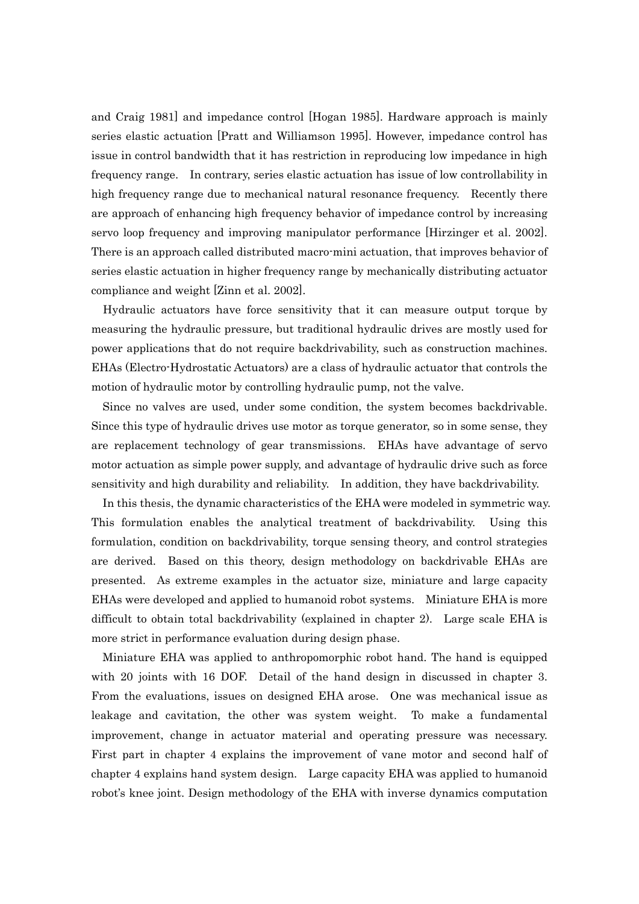and Craig 1981] and impedance control [Hogan 1985]. Hardware approach is mainly series elastic actuation [Pratt and Williamson 1995]. However, impedance control has issue in control bandwidth that it has restriction in reproducing low impedance in high frequency range. In contrary, series elastic actuation has issue of low controllability in high frequency range due to mechanical natural resonance frequency. Recently there are approach of enhancing high frequency behavior of impedance control by increasing servo loop frequency and improving manipulator performance [Hirzinger et al. 2002]. There is an approach called distributed macro-mini actuation, that improves behavior of series elastic actuation in higher frequency range by mechanically distributing actuator compliance and weight [Zinn et al. 2002].

Hydraulic actuators have force sensitivity that it can measure output torque by measuring the hydraulic pressure, but traditional hydraulic drives are mostly used for power applications that do not require backdrivability, such as construction machines. EHAs (Electro-Hydrostatic Actuators) are a class of hydraulic actuator that controls the motion of hydraulic motor by controlling hydraulic pump, not the valve.

Since no valves are used, under some condition, the system becomes backdrivable. Since this type of hydraulic drives use motor as torque generator, so in some sense, they are replacement technology of gear transmissions. EHAs have advantage of servo motor actuation as simple power supply, and advantage of hydraulic drive such as force sensitivity and high durability and reliability. In addition, they have backdrivability.

In this thesis, the dynamic characteristics of the EHA were modeled in symmetric way. This formulation enables the analytical treatment of backdrivability. Using this formulation, condition on backdrivability, torque sensing theory, and control strategies are derived. Based on this theory, design methodology on backdrivable EHAs are presented. As extreme examples in the actuator size, miniature and large capacity EHAs were developed and applied to humanoid robot systems. Miniature EHA is more difficult to obtain total backdrivability (explained in chapter 2). Large scale EHA is more strict in performance evaluation during design phase.

Miniature EHA was applied to anthropomorphic robot hand. The hand is equipped with 20 joints with 16 DOF. Detail of the hand design in discussed in chapter 3. From the evaluations, issues on designed EHA arose. One was mechanical issue as leakage and cavitation, the other was system weight. To make a fundamental improvement, change in actuator material and operating pressure was necessary. First part in chapter 4 explains the improvement of vane motor and second half of chapter 4 explains hand system design. Large capacity EHA was applied to humanoid robot's knee joint. Design methodology of the EHA with inverse dynamics computation